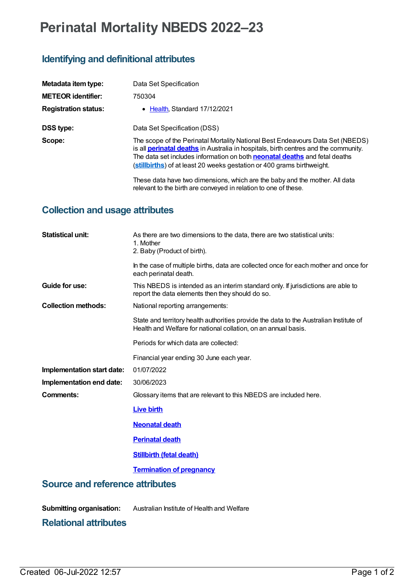# **Perinatal Mortality NBEDS 2022–23**

## **Identifying and definitional attributes**

| Metadata item type:         | Data Set Specification                                                                                                                                                                                                                                                                                                                      |
|-----------------------------|---------------------------------------------------------------------------------------------------------------------------------------------------------------------------------------------------------------------------------------------------------------------------------------------------------------------------------------------|
| <b>METEOR identifier:</b>   | 750304                                                                                                                                                                                                                                                                                                                                      |
| <b>Registration status:</b> | • Health Standard 17/12/2021                                                                                                                                                                                                                                                                                                                |
| DSS type:                   | Data Set Specification (DSS)                                                                                                                                                                                                                                                                                                                |
| Scope:                      | The scope of the Perinatal Mortality National Best Endeavours Data Set (NBEDS)<br>is all <b>perinatal deaths</b> in Australia in hospitals, birth centres and the community.<br>The data set includes information on both <b>neonatal deaths</b> and fetal deaths<br>(stillbirths) of at least 20 weeks gestation or 400 grams birthweight. |
|                             | These data have two dimensions, which are the baby and the mother. All data<br>relevant to the birth are conveyed in relation to one of these.                                                                                                                                                                                              |

#### **Collection and usage attributes**

| <b>Statistical unit:</b>               | As there are two dimensions to the data, there are two statistical units:<br>1. Mother<br>2. Baby (Product of birth).                                    |
|----------------------------------------|----------------------------------------------------------------------------------------------------------------------------------------------------------|
|                                        | In the case of multiple births, data are collected once for each mother and once for<br>each perinatal death.                                            |
| Guide for use:                         | This NBEDS is intended as an interim standard only. If jurisdictions are able to<br>report the data elements then they should do so.                     |
| <b>Collection methods:</b>             | National reporting arrangements:                                                                                                                         |
|                                        | State and territory health authorities provide the data to the Australian Institute of<br>Health and Welfare for national collation, on an annual basis. |
|                                        | Periods for which data are collected:                                                                                                                    |
|                                        | Financial year ending 30 June each year.                                                                                                                 |
| Implementation start date:             | 01/07/2022                                                                                                                                               |
| Implementation end date:               | 30/06/2023                                                                                                                                               |
| Comments:                              | Glossary items that are relevant to this NBEDS are included here.                                                                                        |
|                                        | <b>Live birth</b>                                                                                                                                        |
|                                        | <b>Neonatal death</b>                                                                                                                                    |
|                                        | <b>Perinatal death</b>                                                                                                                                   |
|                                        | <b>Stillbirth (fetal death)</b>                                                                                                                          |
|                                        | <b>Termination of pregnancy</b>                                                                                                                          |
| <b>Source and reference attributes</b> |                                                                                                                                                          |
| <b>Submitting organisation:</b>        | Australian Institute of Health and Welfare                                                                                                               |

### **Relational attributes**